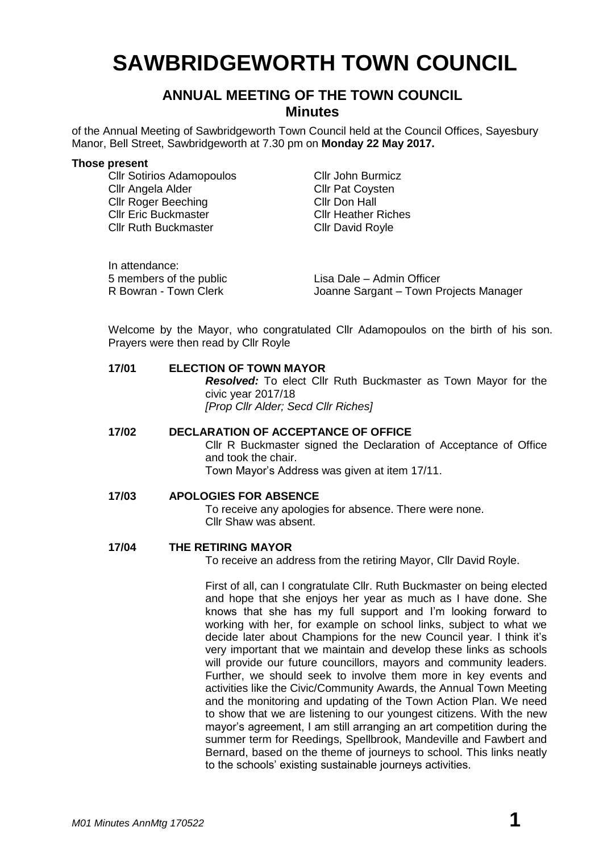# **SAWBRIDGEWORTH TOWN COUNCIL**

# **ANNUAL MEETING OF THE TOWN COUNCIL Minutes**

of the Annual Meeting of Sawbridgeworth Town Council held at the Council Offices, Sayesbury Manor, Bell Street, Sawbridgeworth at 7.30 pm on **Monday 22 May 2017.**

#### **Those present**

**Cllr Sotirios Adamopoulos** Cllr John Burmicz Cllr Angela Alder Cllr Pat Coysten Cllr Roger Beeching Cllr Don Hall Cllr Eric Buckmaster Cllr Heather Riches Cllr Ruth Buckmaster Cllr David Royle

| In attendance:          |                                        |
|-------------------------|----------------------------------------|
| 5 members of the public | Lisa Dale – Admin Officer              |
| R Bowran - Town Clerk   | Joanne Sargant – Town Projects Manager |

Welcome by the Mayor, who congratulated Cllr Adamopoulos on the birth of his son. Prayers were then read by Cllr Royle

# **17/01 ELECTION OF TOWN MAYOR** *Resolved:* To elect Cllr Ruth Buckmaster as Town Mayor for the civic year 2017/18 *[Prop Cllr Alder; Secd Cllr Riches]* **17/02 DECLARATION OF ACCEPTANCE OF OFFICE**

Cllr R Buckmaster signed the Declaration of Acceptance of Office and took the chair. Town Mayor's Address was given at item 17/11.

**17/03 APOLOGIES FOR ABSENCE**

To receive any apologies for absence. There were none. Cllr Shaw was absent.

### **17/04 THE RETIRING MAYOR**

To receive an address from the retiring Mayor, Cllr David Royle.

First of all, can I congratulate Cllr. Ruth Buckmaster on being elected and hope that she enjoys her year as much as I have done. She knows that she has my full support and I'm looking forward to working with her, for example on school links, subject to what we decide later about Champions for the new Council year. I think it's very important that we maintain and develop these links as schools will provide our future councillors, mayors and community leaders. Further, we should seek to involve them more in key events and activities like the Civic/Community Awards, the Annual Town Meeting and the monitoring and updating of the Town Action Plan. We need to show that we are listening to our youngest citizens. With the new mayor's agreement, I am still arranging an art competition during the summer term for Reedings, Spellbrook, Mandeville and Fawbert and Bernard, based on the theme of journeys to school. This links neatly to the schools' existing sustainable journeys activities.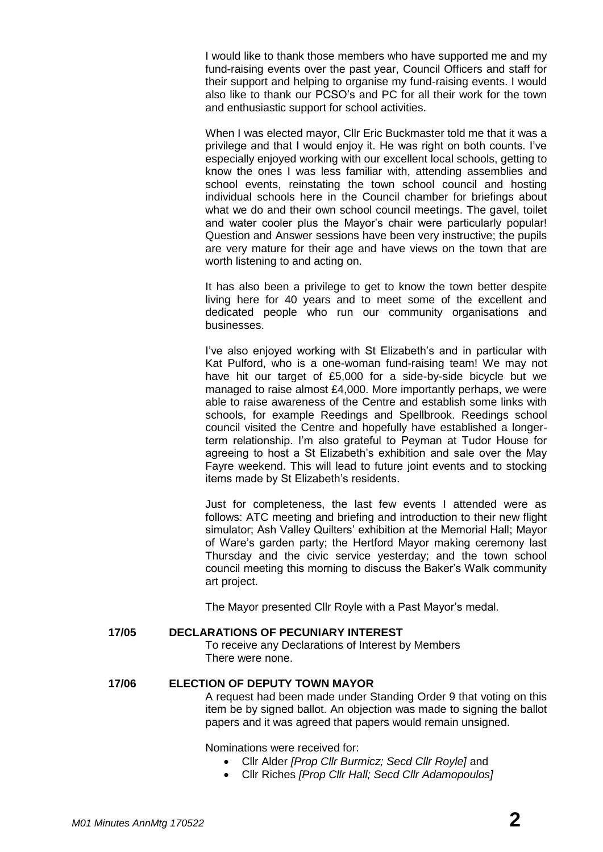I would like to thank those members who have supported me and my fund-raising events over the past year, Council Officers and staff for their support and helping to organise my fund-raising events. I would also like to thank our PCSO's and PC for all their work for the town and enthusiastic support for school activities.

When I was elected mayor, Cllr Eric Buckmaster told me that it was a privilege and that I would enjoy it. He was right on both counts. I've especially enjoyed working with our excellent local schools, getting to know the ones I was less familiar with, attending assemblies and school events, reinstating the town school council and hosting individual schools here in the Council chamber for briefings about what we do and their own school council meetings. The gavel, toilet and water cooler plus the Mayor's chair were particularly popular! Question and Answer sessions have been very instructive; the pupils are very mature for their age and have views on the town that are worth listening to and acting on.

It has also been a privilege to get to know the town better despite living here for 40 years and to meet some of the excellent and dedicated people who run our community organisations and businesses.

I've also enjoyed working with St Elizabeth's and in particular with Kat Pulford, who is a one-woman fund-raising team! We may not have hit our target of £5,000 for a side-by-side bicycle but we managed to raise almost £4,000. More importantly perhaps, we were able to raise awareness of the Centre and establish some links with schools, for example Reedings and Spellbrook. Reedings school council visited the Centre and hopefully have established a longerterm relationship. I'm also grateful to Peyman at Tudor House for agreeing to host a St Elizabeth's exhibition and sale over the May Fayre weekend. This will lead to future joint events and to stocking items made by St Elizabeth's residents.

Just for completeness, the last few events I attended were as follows: ATC meeting and briefing and introduction to their new flight simulator; Ash Valley Quilters' exhibition at the Memorial Hall; Mayor of Ware's garden party; the Hertford Mayor making ceremony last Thursday and the civic service yesterday; and the town school council meeting this morning to discuss the Baker's Walk community art project.

The Mayor presented Cllr Royle with a Past Mayor's medal.

# **17/05 DECLARATIONS OF PECUNIARY INTEREST**

To receive any Declarations of Interest by Members There were none.

# **17/06 ELECTION OF DEPUTY TOWN MAYOR**

A request had been made under Standing Order 9 that voting on this item be by signed ballot. An objection was made to signing the ballot papers and it was agreed that papers would remain unsigned.

Nominations were received for:

- Cllr Alder *[Prop Cllr Burmicz; Secd Cllr Royle]* and
- Cllr Riches *[Prop Cllr Hall; Secd Cllr Adamopoulos]*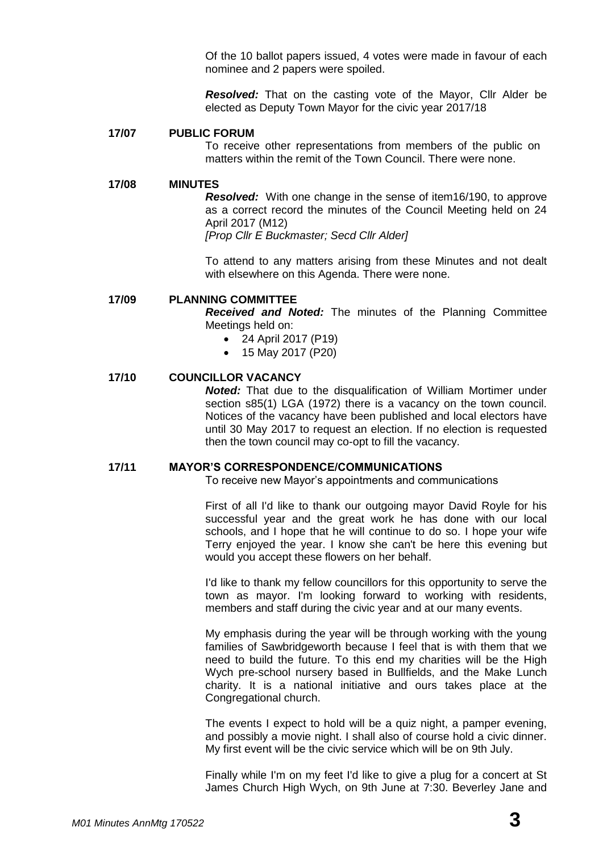Of the 10 ballot papers issued, 4 votes were made in favour of each nominee and 2 papers were spoiled.

*Resolved:* That on the casting vote of the Mayor, Cllr Alder be elected as Deputy Town Mayor for the civic year 2017/18

#### **17/07 PUBLIC FORUM**

To receive other representations from members of the public on matters within the remit of the Town Council. There were none.

#### **17/08 MINUTES**

*Resolved:* With one change in the sense of item16/190, to approve as a correct record the minutes of the Council Meeting held on 24 April 2017 (M12) *[Prop Cllr E Buckmaster; Secd Cllr Alder]*

To attend to any matters arising from these Minutes and not dealt with elsewhere on this Agenda. There were none.

#### **17/09 PLANNING COMMITTEE**

*Received and Noted:* The minutes of the Planning Committee Meetings held on:

- 24 April 2017 (P19)
- 15 May 2017 (P20)

#### **17/10 COUNCILLOR VACANCY**

*Noted:* That due to the disqualification of William Mortimer under section s85(1) LGA (1972) there is a vacancy on the town council. Notices of the vacancy have been published and local electors have until 30 May 2017 to request an election. If no election is requested then the town council may co-opt to fill the vacancy.

#### **17/11 MAYOR'S CORRESPONDENCE/COMMUNICATIONS**

To receive new Mayor's appointments and communications

First of all I'd like to thank our outgoing mayor David Royle for his successful year and the great work he has done with our local schools, and I hope that he will continue to do so. I hope your wife Terry enjoyed the year. I know she can't be here this evening but would you accept these flowers on her behalf.

I'd like to thank my fellow councillors for this opportunity to serve the town as mayor. I'm looking forward to working with residents, members and staff during the civic year and at our many events.

My emphasis during the year will be through working with the young families of Sawbridgeworth because I feel that is with them that we need to build the future. To this end my charities will be the High Wych pre-school nursery based in Bullfields, and the Make Lunch charity. It is a national initiative and ours takes place at the Congregational church.

The events I expect to hold will be a quiz night, a pamper evening, and possibly a movie night. I shall also of course hold a civic dinner. My first event will be the civic service which will be on 9th July.

Finally while I'm on my feet I'd like to give a plug for a concert at St James Church High Wych, on 9th June at 7:30. Beverley Jane and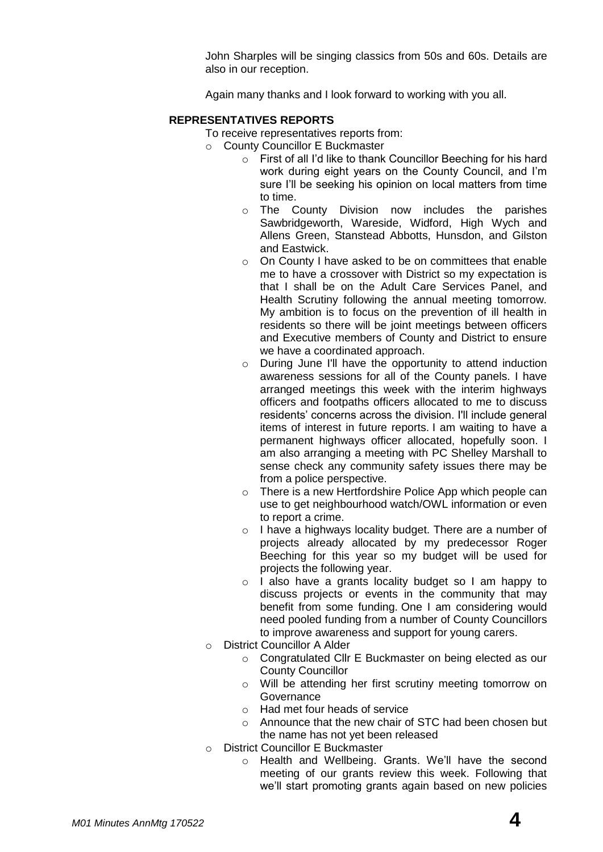John Sharples will be singing classics from 50s and 60s. Details are also in our reception.

Again many thanks and I look forward to working with you all.

# **REPRESENTATIVES REPORTS**

- To receive representatives reports from:
- o County Councillor E Buckmaster
	- o First of all I'd like to thank Councillor Beeching for his hard work during eight years on the County Council, and I'm sure I'll be seeking his opinion on local matters from time to time.
	- o The County Division now includes the parishes Sawbridgeworth, Wareside, Widford, High Wych and Allens Green, Stanstead Abbotts, Hunsdon, and Gilston and Eastwick.
	- o On County I have asked to be on committees that enable me to have a crossover with District so my expectation is that I shall be on the Adult Care Services Panel, and Health Scrutiny following the annual meeting tomorrow. My ambition is to focus on the prevention of ill health in residents so there will be joint meetings between officers and Executive members of County and District to ensure we have a coordinated approach.
	- o During June I'll have the opportunity to attend induction awareness sessions for all of the County panels. I have arranged meetings this week with the interim highways officers and footpaths officers allocated to me to discuss residents' concerns across the division. I'll include general items of interest in future reports. I am waiting to have a permanent highways officer allocated, hopefully soon. I am also arranging a meeting with PC Shelley Marshall to sense check any community safety issues there may be from a police perspective.
	- o There is a new Hertfordshire Police App which people can use to get neighbourhood watch/OWL information or even to report a crime.
	- o I have a highways locality budget. There are a number of projects already allocated by my predecessor Roger Beeching for this year so my budget will be used for projects the following year.
	- o I also have a grants locality budget so I am happy to discuss projects or events in the community that may benefit from some funding. One I am considering would need pooled funding from a number of County Councillors to improve awareness and support for young carers.
- o District Councillor A Alder
	- o Congratulated Cllr E Buckmaster on being elected as our County Councillor
	- o Will be attending her first scrutiny meeting tomorrow on Governance
	- o Had met four heads of service
	- o Announce that the new chair of STC had been chosen but the name has not yet been released
- o District Councillor E Buckmaster
	- o Health and Wellbeing. Grants. We'll have the second meeting of our grants review this week. Following that we'll start promoting grants again based on new policies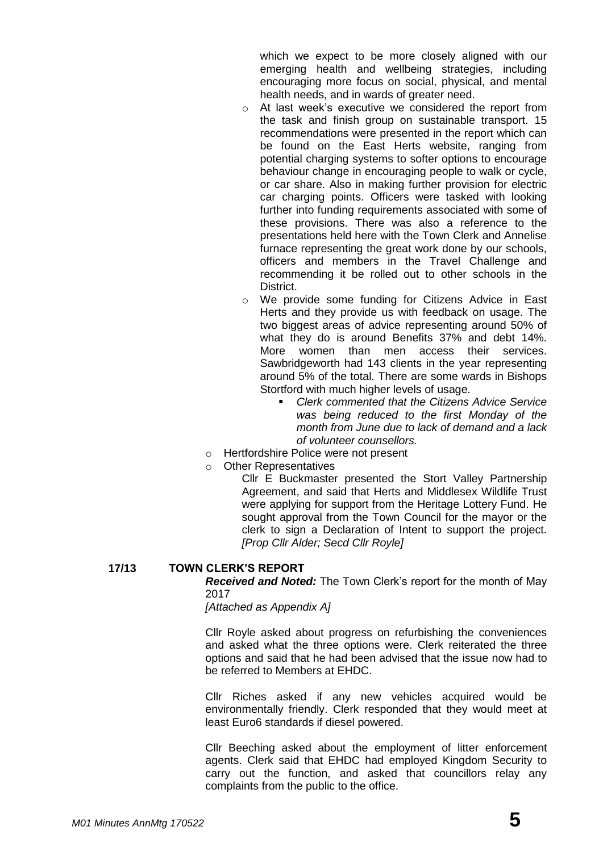which we expect to be more closely aligned with our emerging health and wellbeing strategies, including encouraging more focus on social, physical, and mental health needs, and in wards of greater need.

- o At last week's executive we considered the report from the task and finish group on sustainable transport. 15 recommendations were presented in the report which can be found on the East Herts website, ranging from potential charging systems to softer options to encourage behaviour change in encouraging people to walk or cycle, or car share. Also in making further provision for electric car charging points. Officers were tasked with looking further into funding requirements associated with some of these provisions. There was also a reference to the presentations held here with the Town Clerk and Annelise furnace representing the great work done by our schools, officers and members in the Travel Challenge and recommending it be rolled out to other schools in the District.
- o We provide some funding for Citizens Advice in East Herts and they provide us with feedback on usage. The two biggest areas of advice representing around 50% of what they do is around Benefits 37% and debt 14%. More women than men access their services. Sawbridgeworth had 143 clients in the year representing around 5% of the total. There are some wards in Bishops Stortford with much higher levels of usage.
	- *Clerk commented that the Citizens Advice Service was being reduced to the first Monday of the month from June due to lack of demand and a lack of volunteer counsellors.*
- o Hertfordshire Police were not present
- o Other Representatives

Cllr E Buckmaster presented the Stort Valley Partnership Agreement, and said that Herts and Middlesex Wildlife Trust were applying for support from the Heritage Lottery Fund. He sought approval from the Town Council for the mayor or the clerk to sign a Declaration of Intent to support the project. *[Prop Cllr Alder; Secd Cllr Royle]*

## **17/13 TOWN CLERK'S REPORT**

*Received and Noted:* The Town Clerk's report for the month of May 2017

*[Attached as Appendix A]*

Cllr Royle asked about progress on refurbishing the conveniences and asked what the three options were. Clerk reiterated the three options and said that he had been advised that the issue now had to be referred to Members at EHDC.

Cllr Riches asked if any new vehicles acquired would be environmentally friendly. Clerk responded that they would meet at least Euro6 standards if diesel powered.

Cllr Beeching asked about the employment of litter enforcement agents. Clerk said that EHDC had employed Kingdom Security to carry out the function, and asked that councillors relay any complaints from the public to the office.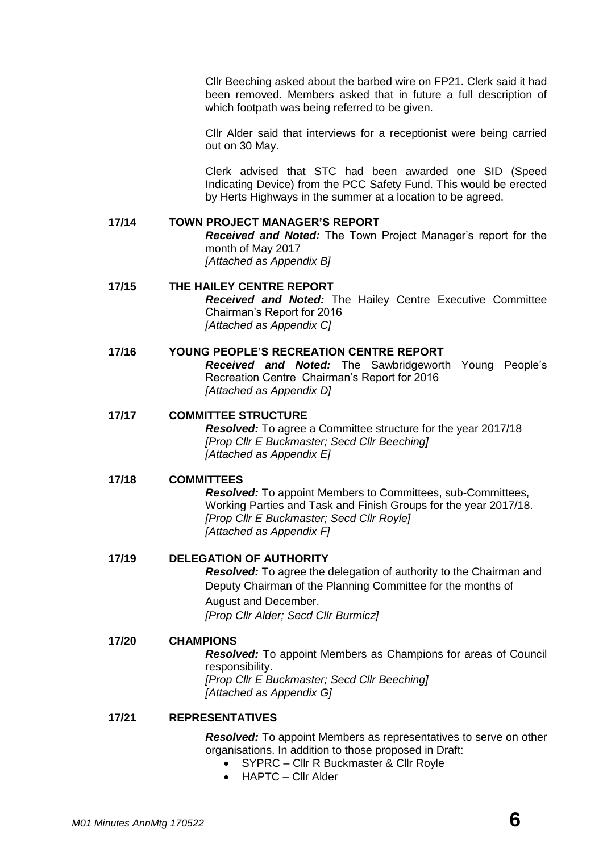Cllr Beeching asked about the barbed wire on FP21. Clerk said it had been removed. Members asked that in future a full description of which footpath was being referred to be given.

Cllr Alder said that interviews for a receptionist were being carried out on 30 May.

Clerk advised that STC had been awarded one SID (Speed Indicating Device) from the PCC Safety Fund. This would be erected by Herts Highways in the summer at a location to be agreed.

# **17/14 TOWN PROJECT MANAGER'S REPORT** *Received and Noted:* The Town Project Manager's report for the month of May 2017 *[Attached as Appendix B]*

# **17/15 THE HAILEY CENTRE REPORT** *Received and Noted:* The Hailey Centre Executive Committee Chairman's Report for 2016 *[Attached as Appendix C]*

# **17/16 YOUNG PEOPLE'S RECREATION CENTRE REPORT**

*Received and Noted:* The Sawbridgeworth Young People's Recreation Centre Chairman's Report for 2016 *[Attached as Appendix D]*

## **17/17 COMMITTEE STRUCTURE**

*Resolved:* To agree a Committee structure for the year 2017/18 *[Prop Cllr E Buckmaster; Secd Cllr Beeching] [Attached as Appendix E]*

## **17/18 COMMITTEES**

*Resolved:* To appoint Members to Committees, sub-Committees, Working Parties and Task and Finish Groups for the year 2017/18. *[Prop Cllr E Buckmaster; Secd Cllr Royle] [Attached as Appendix F]*

## **17/19 DELEGATION OF AUTHORITY**

*Resolved:* To agree the delegation of authority to the Chairman and Deputy Chairman of the Planning Committee for the months of August and December. *[Prop Cllr Alder; Secd Cllr Burmicz]*

**17/20 CHAMPIONS** *Resolved:* To appoint Members as Champions for areas of Council responsibility. *[Prop Cllr E Buckmaster; Secd Cllr Beeching] [Attached as Appendix G]*

## **17/21 REPRESENTATIVES**

*Resolved:* To appoint Members as representatives to serve on other organisations. In addition to those proposed in Draft:

- SYPRC Cllr R Buckmaster & Cllr Royle
- HAPTC Cllr Alder